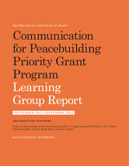UNITED STATES INSTITUTE OF PEACE

# Communication for Peacebuilding Priority Grant Program Learning Group Report

SEPTEMBER 2011-SEPTEMBER 2012

IMPLEMENTING PARTNERS

Radio La Benevolencija in the Democratic Republic of Congo; Internews Network in the Central African Republic; and The World Policy Institute in Kenya

FACILITATED BY INTERNEWS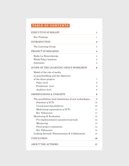# TABLE OF CONTENTS

| <b>EXECUTIVE SUMMARY</b>                                | 1        |
|---------------------------------------------------------|----------|
| Key Findings                                            | 1        |
| <b>INTRODUCTION</b>                                     | $\bf{2}$ |
| The Learning Group                                      | 3        |
| PROJECT SUMMARIES                                       | 4        |
| Radio La Benevolencija                                  | 4        |
| World Policy Institute                                  | 5        |
| Internews                                               | 5        |
| SCOPE OF THE LEARNING GROUP WORKSHOP                    | 6        |
| Model of the role of media                              |          |
| in peacebuilding and the objectives                     |          |
| of the three projects                                   | 7        |
| Policy level                                            | 8        |
| Production level                                        | 8        |
| Audience level                                          | 8        |
| <b>OBSERVATIONS &amp; INSIGHTS</b>                      | 9        |
| The possibilities (and limitations) of new technologies | 9        |
| Potential of ICTs                                       | 10       |
| Crowd-sourcing platforms                                | 10       |
| Moderating expectations of ICTs                         | 11       |
| Key Takeaways                                           | 11       |
| Monitoring & Evaluation                                 | 12       |
| Pre-implementation assessment periods                   | 12       |
| Monitoring                                              | 14       |
| Final project evaluations                               | 14       |
| Key Takeaways                                           | 14       |
| Looking forward: Dissemination & Collaboration          | 15       |
| CONCLUSION                                              | 16       |
| <b>ABOUT THE AUTHORS</b>                                | 17       |
|                                                         |          |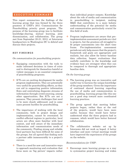# <span id="page-2-0"></span>EXECUTIVE SUMMARY

This report summarizes the findings of the learning group that was formed by the three grantees of USIP's 2011 Communication for Peacebuilding priority grant program. The purpose of the learning group was to facilitate knowledge-sharing, mutual learning, joint dissemination, and collaboration. The group met from September 20-21, 2012, at Internews headquarters in Washington DC to debrief and discuss their projects.

# KEY FINDINGS

#### *On communication for peacebuilding projects*:

- $\cdot$  Equipping communities with the tools to make informed decisions in times of crisis and to distinguish for themselves hateful or violent messages is an essential component of peacebuilding programs.
- $\cdot$  ICTs are an exciting development for media program implementers. They are potentially very useful for peacebuilding efforts, as they can aid in supporting positive information flows and centralizing disparate streams of information through crowd-sourcing, among other opportunities. But ICTs are not a panacea. They present challenges that need to be more closely addressed, and in some cases present hurdles for peacebuilding.
- The importance of working with the local community, both in project design and implementation, cannot be overstated. In conflict-affected regions in particular, local actors are often more familiar with local context, and well aware of the immediate information and communication needs of the community. Finding strong and reliable local partners has been difficult for some of the groups, but all agreed that finding such a partner adds immeasurably to a project's success.
- $\cdot$  There is a need for new and innovative ways to approach monitoring and evaluation that focus more on 'big picture' impacts rather

than individual project outputs. Knowledge about the role of media and communication in peacebuilding is incipient, making M&E that contributes to a more holistic understanding of the potential for media and communication particularly crucial for this field of work.

• Program implementers are aware that preimplementation assessment periods are vital to projects, but the grantees all struggled to fit proper assessments into the short time frame. Pre-implementation assessment periods not only help ensure that the project's framework and goals are appropriate and realistic, but also allow for better baseline data collection. Impact evaluations that usefully contribute to the knowledge and evidence base are strongest when they can be compared to thorough and appropriate baseline data.

# *On the learning group*:

- The learning group was an innovative and useful way to harness the unique knowledge of the group members. Given the importance of continued shared learning regarding the use of media and communication in peacebuilding, learning groups like this one are a good step toward more coordinated learning practices.
- The group agreed that meeting before projects began, rather than at the end of the projects, would have been more useful, because they would have better understood what the three projects had in common, which would have better fostered collaboration.
- $\cdot$  The collaborative website set up by Internews did not work as hoped. A better interface and more virtual meetings would have improved the experiences of the groups on the website.

#### *Recommendations for USIP*:

 Encourage more learning groups as a way to systematize project learning and widen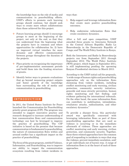<span id="page-3-0"></span>the knowledge base on the role of media and communication in peacebuilding efforts. USIP's efforts to promote such learning groups should continue, but should seek ways to create more robust collaborations than those achieved for this project.

- **E**uture learning groups should 1) encourage groups to meet at the beginning of the project, not only at the end, so that they can understand from the beginning what the projects have in common and where opportunities for collaboration lie; 2) have an improved virtual interface for more dynamic and effective communication between groups throughout the duration of the projects.
- $\cdot$  Place priority on recognizing the importance of pre-implementation assessment periods and build them into the funding structure of grants.
- $\triangleleft$  Identify better ways to promote evaluations that go beyond measuring project outputs and foster growth of the knowledge base surrounding the role of media and communication in peacebuilding.

# INTRODUCTION

In 2011, the United States Institute for Peace launched the Communication for Peacebuilding priority grant program (CfP). The program was intended to support innovative practice and research designed to increase understanding of how communication flows and communication technology can best be leveraged to improve the practice of peacebuilding. The CfP initiative is based on the premise that because communication is fundamental to peacebuilding, the nature of communication flows within and around conflict has a significant impact on the practice of peacebuilding.

The focus of the grant program, entitled Violence, Information, and Peacebuilding, was to improve our ability to impact the communication ecosystem resulting from violent incidents in ways that:

- 1. Help support and leverage information flows that create more positive peacebuilding outcomes;
- 2. Help undermine information flows that create escalatory dynamics.

After a full and open competition, USIP awarded three grants to: Internews Network in the Central African Republic; Radio La Benevolencija in the Democratic Republic of Congo; and The World Policy Institute in Kenya.

Both the Internews and Radio la Benevolencija projects ran from September 2011 through September 2012. The World Policy Institute (WPI) project, which began in September 2011, is still implementing pending the upcoming Kenyan Presidential elections in March 2013.

According to the USIP initial call for proposals, "a wide range of human rights and peacebuilding approaches rely on the information flows stemming from violent incidents, including conflict monitoring and early warning, civilian protection, community security initiatives, genocide and mass atrocity prevention, human rights monitoring and fact finding, and evidence gathering for international tribunals. On the other hand, the same information flows can contribute to mobilization, intimidation, retaliatory attacks, radicalization, and other escalatory dynamics."

To provide a sharper focus, this particular award was specifically concerned with leveraging information flows as part of three peacebuilding approaches that are used as violence is occurring or in the immediate aftermath of violence. These approaches are conflict monitoring and early warning, civilian protection, and community security. Together, these three related approaches have the common goal of responding to incidents in ways that stop the violence, prevent immediate escalation, and/ or get individuals out of harm's way. A range of information flows is at the heart of each of these approaches.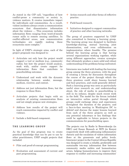<span id="page-4-0"></span>As stated in the CfP call, "regardless of how conflict-prone a community or society is, violence matters. It creates immediate impact for individuals and communities. As a result, violent incidents always create a communication ecosystem that disseminates information about the violence … This ecosystem includes information flows ranging from word-of-mouth rumor mills to remote sensing satellites. In conflict-affected areas, new communication technologies are rapidly making these ecosystems more complex."

In light of USIP's strategic aims, each of the project proposals was designed to:

- Articulate not only how the project would support a tool or medium (e.g., community radio), but how the project would analyze, work with, and/or create support for information flows that contribute to peacebuilding outcomes.
- Understand and work with the dynamic relationship between sender, message, medium, receiver, and context.
- Address not just information flows, but the response to those flows.
- Articulate projects that begin with an analysis of existing communication flows and not simply propose new strategies.
- Address how results of the project will reach communities impacted by conflict and violence.
- Include a field-based component.

#### THE LEARNING GROUP

As the goal of this program was to create practical knowledge that can be put to use by other practitioners, USIP sought projects that included:

- **◆** Pilot and proof-of-concept programming.
- Evaluation and assessment of current and past programming.
- **↑** Action research and other forms of reflective practice.
- Field-based research.
- $\cdot$  Initiatives designed to support communities of practice and other learning networks.

The group of grantees supported by USIP also committed to forming a learning group. The learning group was designed to facilitate knowledge-sharing, mutual learning, joint dissemination, and even collaboration on implementation where feasible. The premise behind the learning group is that having several organizations working together, while using different approaches, creates synergies that ultimately produce a more solid and robust understanding of the problems being confronted.

Internews was tasked with leading the learning group among the three grantees, with the goal of creating a forum for discussion throughout the course of the project through which the three grantees could share lessons learned and best practices, and could generally debrief. Such a learning group was seen as particularly useful since research on, and understanding about, the role of media in peacebuilding is still in its infancy, despite much recent work in the field. The model for the forum included an interactive online portal through which groups could exchange ideas and experiences throughout the duration of the projects, and a face-to-face meeting in Washington DC to debrief and discuss the major lessons learned from each of the three projects as well as any potential takeaways or key findings that could be applicable to future projects in the communications for peacebuilding space.

The projects run by Radio la Benevolencija (in DRC) and Susan Benesch at WPI (in Kenya) respectively dealt with addressing inflammatory rhetoric and the escalation of violent information flows at the grassroots and policy levels. Internews' project in the Central African Republic was designed to create a reliable, predictable and sustainable two-way information flow between community media outlets and humanitarian actors, helping humanitarians to improve their response to conflict and increasing communities'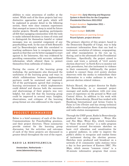<span id="page-5-0"></span>abilities to raise awareness of conflict at the outset. While each of the three projects had very distinctive approaches and goals, which will be explained in greater detail in the following section, there were clear common experiences that emerged as issues to keep in mind for future similar projects. Broadly speaking, participants all felt that equipping communities with the tools to make informed decisions in times of crisis and to distinguish for themselves hateful or violent messages was an essential component of any peacebuilding work. In the case of both Benesch's and La Benevolencija's work this correlated to teaching audiences how to recognize dangerous speech so that they are be better equipped to react against it; for Internews, this was evidenced by providing communities with accurate, unbiased information which allowed them to protect themselves from outbreaks of violence.

During the course of the learning group workshop, the participants also discussed the usefulness of the learning group and ways in which collaborations between implementing partners could be sustained and improved. All of the participants agreed that creating a learning environment in which implementers could debrief and discuss both the successes and shortcomings of their projects was very helpful, but also felt that the learning group could be improved in several ways. Insights, observations, and critiques of the learning group format are also addressed in the report.

# PROJECT SUMMARIES

Below is a brief summary of each of the three Communications for Peacebuilding grantees, and their project directors. These summaries provide context for the learning group discussion, but the activities and outcomes of each of the three projects are discussed in greater detail throughout the rest of the report.

# RADIO LA BENEVOLENCIJA

Amsterdam, Netherlands – [www.labenevolencija.org](http://www.labenevolencija.org)

Project title: *Early Warning and Response System in North Kivu for the Congolese Presidential Elections 2011/2012*

Project duration: September 2011 – September 2012

Project budget: \$103,555

Representative at Learning Group: Ricard Sylvain, project director

The primary objective of this project, based in the Democratic Republic of Congo, was to help counteract information flows that can lead to incitement, escalation of violence, scapegoating, and other manipulation in the run up to, during, and in the aftermath of the Presidential Elections. Specifically, the project aimed to create and train a network of "civil society election observers" in North Kivu to monitor not only procedures, but also incitement to violence in their community. Additionally, the project worked to connect these civil society election observers with the media to redistribute their information to a wider audience in order to prevent election related violence.

Sylvain Ricard, the project director for Radio La Benevolencija, is a seasoned project manager and media producer, with over nine years of experience on the ground in West and Central Africa. In addition to his work with Radio la Benevolencija, Ricard has worked with Handicap International and Action Contre la Faim in Cote d'Ivoire and has strong technical skills in audio-visual production, media training and radio station management.

Through the USIP grant, Radio la Benevolencija produced two radio programs – *Wenye Kiu* and *Nia Moja*. *Wenye Kiu*, which translates to "those who are thirsty," is a radio program structured around five-minute sketches on basic civil education and sensitization for a general audience, in order to improve the public's ability to recognize and combat forms of incitement during the election process. Sketches were produced and broadcast on a network of 21 community radio stations twice a day in four provinces of Eastern DRC. *Nia Moja*, which means "common vision" is a 30-minute informative program that covers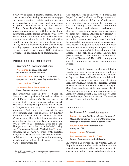<span id="page-6-0"></span>a variety of election related themes, such as how to react when facing incitement to engage in violence against certain political parties or candidates, and the legal and non-violent acceptance or opposition of election results. Radio la Benevolencija also organized a series of roundtable discussions with key political and international stakeholders as well as civil society organizations to educate them on the electoral laws and to provide a forum for discussion that would continue beyond the round table talks. Lastly, Radio la Benevolencija created an early warning system to enable the population to recognize and report, through SMS, incidents of violence or tension in their communities.

#### WORLD POLICY INSTITUTE

New York, NY – [www.worldpolicy.org](http://www.worldpolicy.org)

Project title: *Dangerous Speech on the Road to Mass Violence*

Project duration: February 2012 – current (project was ongoing as of September 2012)

Project budget: \$75,000

Representative at Learning Group: Susan Benesch, project director

The Dangerous Speech Project, based in Kenya and run by Susan Benesch, a fellow at World Policy Institute (WPI), has worked to provide tools which re-conceptualize speech categories in a way that pinpoints which speech is dangerous - and why - in conflict prone situations. Additionally, the project focuses on recommending best practices for limiting dangerous speech without curbing freedom of expression. The project has supported and strengthened the efforts of Kenyan media and civil society to use communication for peace. The primary activities have included using the "Dangerous Speech Methodology"<sup>1</sup> under development at WPI to work with selected Kenyan NGOs, media, and government agencies to define narrower categories of inflammatory speech and to find the least speech-restrictive ways of discouraging it.

Through the scope of this project, Benesch has helped key stakeholders in Kenya create and internalize a clearer definition of hate speech and has designed a system for monitoring and classifying such speech. Additionally, Benesch has advised relevant stakeholders on the most effective and least restrictive means to limit hate speech. Another key element of this project, which is ongoing pending the upcoming Kenyan presidential elections, is to help inoculate audiences against dangerous and hate speech. The goal is to help make audiences more aware of what dangerous speech is and how entrepreneurs of violent speech manipulate audiences through such speech. Lastly, this project worked to train monitors of the Media Council of Kenya and Ushahidi on dangerous speech frameworks for classifying dangerous speech.

Benesch, project director for the World Policy Institute project in Kenya and a senior fellow at the World Policy Institute, is one of a handful of legal scholars worldwide who specialize in analyzing speech that catalyzes atrocities. Benesch previously served as senior legal advisor to the Center for Justice and Accountability in San Francisco, based at Patton Boggs, LLP in Washington, D.C., and as a program director at Amnesty International USA. She also teaches as an adjunct professor at American University's School of International Service.

#### INTERNEWS

Washington, DC – [www.internews.org](http://www.internews.org)

Project title: *Mobile2Radio: Connecting Local Media, Humanitarian Actors and Communities through Innovative Communication Flows*

Project duration: September 2011 – August 2012

Project budget: \$136,249

Representative at Learning Group: Jeroen Corduwener, project director

Internews has worked in the Central African Republic to create what seeks to be a reliable, sustainable system allowing local media to gather information from affected populations in

<sup>1</sup> Benesch's methodology can be found at [http://www.scribd.com/](http://www.scribd.com/doc/95867806/Proposed) [doc/95867806/Proposed](http://www.scribd.com/doc/95867806/Proposed)-Guidelines-on-Dangerous-Speech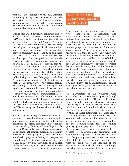<span id="page-7-0"></span>real time and channel it to the humanitarian community using new technologies. At the same time, the system establishes a two-way communication flow whereby humanitarian groups can send information out to affected communities via local radio.

During this award, Internews continued support for an established network of 15 community radios in CAR and also led more intensive pilots with two specific stations in Obo and Zereda. The pilots involved using Frontline SMS and crowdsourcing technologies to engage local communities and to strengthen two-way information flows between community radios and their audiences. Internews also conducted baseline research on the types of stories produced through the established network of community radio stations as well as some informal research on both the needs of the humanitarian community and local communities. Internews consistently monitored the participation and activities of the partner community radio stations, added four additional radios during the course of the project, and added 20 local correspondents in so-called "information dark" areas, "giving a voice to voiceless people." By relying on both new technologies and established communications infrastructure, Internews was able to leverage information flows to improve the activities of humanitarian actors and increase access to information for local communities. Additionally, Internews worked to build the technical and managerial capacity of the Association of Journalists for Human Rights (AJHR) to strengthen the overall sustainability of the network.

Jeroen Corduwener, project director for Internews, has a strong record in developing, implementing and managing projects on media and conflict prevention in Africa, especially in post-conflict zones including Central African Republic. In the past 15 years, he has built on experience as an international trainer, program and country director on media programs, good governance and election projects, including in post-genocide Rwanda and Cote d'Ivoire. Corduwener, who has a PhD in history from University of Groningen in the Netherlands, also created and piloted the current network on which the project was based.

# SCOPE OF THE LEARNING GROUP WORKSHOP

The premise of the workshop was that each project had distinct methodologies and ambitions, but that each was rooted in a strong philosophical approach to conflict avoidance, and that a learning group could augment the work of each by exposing key personnel to intense programmatic efforts in like-oriented environments. The learning group was therefore designed to allow the participants to openly and robustly describe how the field of communication, media, and peacebuilding evolved in their own performances and to interact as a community of experts to consider benefits from learning about each other's work (while at the same time reflecting on their own project). An additional goal of the workshop was that, through intense and concentrated discussion, the participants would be able to use their experiences on the ground to help build *new* knowledge on understandings of, and strategies toward, effective communication for peacebuilding interventions.

The parameters of the workshop were established in the context of "peacebuilding," envisioned broadly by USIP as the "long-term process of addressing the root causes and effects [of conflict], reconciling differences, normalizing relations, and building institutions that can manage conflict without resort to violence." Within the larger framework of peacebuilding, USIP highlighted the fundamental role that communication flows can play in both promoting and undermining the process of peacebuilding in the Communication for Peacebuilding priority grant program. In common, the three projects were deeply engaged with the process of understanding, analyzing, and strengthening positive communication flows and the participants were chosen because of their ability to bring individual, deep experience with the field. The base principle of the discussion (its operative lever for interchange) was that the three projects took place in three

<sup>2</sup> <http://glossary.usip.org/resource/peacebuilding>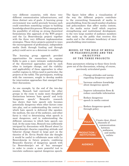<span id="page-8-0"></span>very different countries, with three very different communication infrastructures, and three distinct sets of goals. A learning group environment was useful precisely because each could contribute something unique to building knowledge about this process. What emerged was the possibility of relying on strong theoretical formulations (the approach of the WPI project and the La Benevolencija project) together with the three very different implementation strategies. These three projects pointed to ways the encouragement of professional, independent media (both through funding and through policy) could serve as a deterrent to conflict.

The learning group approach provided opportunities for researchers in cognate fields to gain a more intimate understanding of the theoretical approaches used by each other to instigate change, and the viability and applicability of those approaches in other conflict regions in Africa (and in particular, the projects at the table). The participants, working with the conveners, sought to develop models for intervention approaches that emerged from their discussions.

As one example, by the end of the two-day session, Benesch had convinced the other groups in the room to make more thoughtful distinctions between 'hate speech' and truly 'dangerous speech.' Benesch's research has shown that hate speech only becomes potentially dangerous when other factors come into play, and so understanding the *context* in which hate speech is delivered (the speaker, the medium, the size of the audience, and other facts) is vital to determining what speech is most dangerous, and in understanding the different outcomes to which hate speech can lead. At the same time, Benesch was sufficiently intrigued by discussions with Ricard about La Benevolencija's theories regarding attitude and behavior change (based in large part on the theories of Dr. Ervin Staub) that she thought it would be useful to collaborate more with La Benevolencija in future projects, combining Benesch's theories of dangerous speech with La Benevolencija's set of 'key messages' in order to create a more powerful tool to inoculate audiences against dangerous speech.

The figure below offers a visualization of the way the different projects contribute to the overarching framework of media in peacebuilding, from the small number of policies and policymakers that affect media content, to the media sector itself which requires strengthening and institutional development, to the very large number of audience members that make up the public that receives this media and is the ultimate beneficiary of most peacebuilding interventions.

# MODEL OF THE ROLE OF MEDIA IN PEACEBUILDING AND THE OBJECTIVES OF THE THREE PROJECTS

Some parameters relating to these three levels grew out of the discussions, echoing, of course, previously articulated goals:

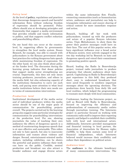#### <span id="page-9-0"></span>*Policy level*

At the level of **policy**, regulations and practices that discourage dangerous speech and harmful information flows without reducing freedom of expression should be promoted. Policy efforts should aim at developing principles and frameworks that support a media environment that provides reliable and timely information to publics, and that supports conflict reduction and peacebuilding efforts.

On one hand this can occur at the countrylevel, by supporting efforts by governments to strengthen the local media system. Susan Benesch, for example, was able to consult with policymakers in the Kenyan government about best practices for curbing dangerous hate speech while maintaining freedom of expression. On the other hand, we can also think about policy at the funder level. The discussion during the learning group indicates that donor policies that support media sector strengthening are crucial. Importantly, this does not only mean training producers, journalists, and others in the media field, but also enhancing capacity of the institutions themselves to carry out such work, and paying more attention to what local media institutions believe their own needs are in terms of communication interventions.

#### *Production level*

Institutional development of the media sector and of individual producers within the media sector should be one of the major goals of communication for peacebuilding projects overall. The projects carried out by the learning group also suggest some particular strategies for communication for peacebuilding interventions at the production level. For one, showing journalists the value of teaching their own audiences the effects of dangerous speech is a method of counteracting dangerous speech that is at once effective and sustainable. This refers not only to hate speech, but also to inaccurate information and rumors about violence and danger. Second, entertainment-oriented media makers, including celebrities, can be shown the powerful and positive influence their work can have on the public. Credible, neutral production and broadcast can also attract a broader audience and engage diverse actors within the same information flow. Finally, connecting communities (such as humanitarian actors, audiences and journalists) can help to triangulate information and ensure sharing of critical content for more immediate response and action.

Benesch, building off her work with policymakers, teamed up with the producers and actors of a popular Kenyan television series, *Vioja Mahakamani*, to show them the power their positive messages could have on their fans. The cast of this popular series, who have significant influence over a broad sector of Kenyan society, were actively engaged in the two day workshop led by Benesch on hate and dangerous speech and voiced their commitment to promoting positive speech.

Ricard, leading the Radio la Benevolencija project, trained radio journalists to produce programs that educate audiences about hate speech. Capitalizing on Radio la Benevolencija's past experience in this field, they produced short, easy to understand broadcasts that were aired frequently to reinforce important messages about the upcoming elections. The productions drew heavily from daily life and local realities, which helped the programming to resonate more deeply with local communities.

Corduwener, leading the Internews project, as well as Ricard with Radio la Benevolencija, focused on improving the efficiency and professionalism of community media outlets through journalism training. The Internews project in particular focused on working with community radio staff to improve their reporting capacity and helped to establish their credibility both with local and international actors. Additionally, Internews provided management and financial training to local partner, the Association of Journalists for Human rights (AJHR), to help them sustain some level of financial independence, which Internews believed would increase their credibility and reduce their dependence on political actors.

#### *Audience level*

The **audience** is the ultimate beneficiary of many communication interventions. The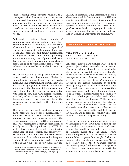<span id="page-10-0"></span>three learning group projects revealed that hate speech that does reach the airwaves can be rendered less powerful if the audience is 'inoculated,' either because they are *informed*  about the truth and motivations behind hate speech, or because their *attitudes and norms* toward hate speech lead them to dismiss it as wrong.

Additionally, creating direct channels of communications between audiences and their community radio stations helps build the trust of communities and reduces the spread of rumors or inaccurate information. This type of reliable, accurate, and timely information accomplishes more than simply preparing audiences or warning them of potential threats. Training journalists to verify information before broadcasting it to populations also served to reduce alarm caused by unreliable information and rumors.

Two of the learning group projects focused on some version of inoculation. Radio la Benevolencija produced two unique radio programs (one entertainment sketch show and one factual program) designed to sensitize audiences to the dangers of hate speech, and teach them how to react when confronted with hate speech. The WPI project, similarly, was designed to 'inoculate' audiences against dangerous speech by showing them the consequences associated with dangerous speech.<sup>3</sup>

The Internews project focused on providing more accurate and reliable information to audiences through local community radio stations by creating linkages between the humanitarian community and the radio stations. This was accomplished through circulation of a daily news bulletin produced by AJHR. As such, Internews was able to help humanitarian actors respond more quickly and effectively to crises in real time, and at the same time reduce the amount of misinformation and subsequent panic within local communities. A clear example of this is the work of the project's local partner, AJHR, in communicating information about a cholera outbreak in September 2011. AJHR was able to draw attention to the outbreak, enabling humanitarian and government actors to respond quickly in affected communities. AJHR helped produce sensitization campaigns in affected areas, minimizing the spread of the outbreak and widespread panic within the community.

# OBSERVATIONS & INSIGHTS

# THE POSSIBILITIES (AND LIMITATIONS) OF NEW TECHNOLOGIES

All three groups have utilized ICTs in their projects (or in their research, in the case of Benesch), which allowed for a productive discussion of the possibilities (and limitations) of these new tools. Because ICTs present so many new opportunities with regard to interventions, and have become the focus of much donor attention, the group's discussion about ICTs took up a significant portion of the workshop. The participants were eager to discuss their own experiences and bounce their insights off of each other, comparing notes and seeing how their own challenges paralleled and differed from the experiences of others. While the three groups were all optimistic about the potential for ICTs, the conclusion that arose from the discussion was that there are challenges that need to be more closely addressed. ICTs are not a panacea, and in some cases in fact presented unexpected hurdles for peacebuilding.

First, in the realm of dangerous speech, new technologies are *allowing* much of this speech to travel at unprecedented rates, and reach groups that would not normally have received it. Benesch noted that the recent events surrounding the film *The Innocence of Muslims*  on YouTube is a powerful example of what can happen when words and expressions "travel more easily across the boundaries between normative groups." Whereas certain speeches and rhetoric used to stay within a particular group, they are now being translated and sent

<sup>3</sup> Benesch, of the World Policy Institute, distinguishes "dangerous speech" from "hate speech", arguing that not all hate speech is necessarily dangerous, and that practitioners need to be more aware of what types of speech are more likely to lead to violence.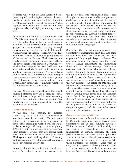<span id="page-11-0"></span>to others who would not have heard it before these digital technologies existed. Projects involving media and peacebuilding therefore have to, according to Benesch, counteract "what happens when you take the lid off and allow people to talk, and fight, when they weren't before."

Corduwener shared his own challenges with ICTs. His team was able to set up a system to get information from isolated areas to central locations, to be distributed to humanitarian groups, but an evaluation partway through implementation revealed that much of the public was not using the SMS messaging system. This was partly because of illiteracy, partly because of the cost of sending an SMS message, and partly because the population was distrustful of the device itself. This required Corduwener to consider both ways to increase SMS use, and alternative methods for getting information to and from isolated populations. The lack of trust in ICTs is one area in particular where stronger pre-intervention research could play a pivotal role. Addressing trust issues upfront could significantly strengthen community uptake of ICTs to communicate their needs.

For both Corduwener and Ricard, the crowdsourcing platform they used, Frontline SMS, also had several bugs, which were eventually resolved, but that prevented the system from functioning as it was supposed to from the beginning of the project.

#### *Potential of ICTs*

At the same time though, the projects, particularly those of Radio la Benevolencija and Internews, found that ICTs had great potential for increasing positive information flows. SMS messaging worked well for Radio la Benevolencija. Although it was originally difficult to get the messaged information from their grassroots groups, they are getting much more information now after modifying their SMS system and teaching their civil society contacts to use specific, short codes that indicate different problems and events.

Benesch, though her project did not directly use ICTs, realized through her research for this project that, while translation of messages through the use of new media can present a challenge in terms of hastening the spread of hate speech, it also allows populations to better hold their political leaders to account, because they can more easily observe what these leaders are saying and doing. She found, in her research on Kenyan political leaders, that simply *knowing* that their words might be translated and transmitted to other language and cultural groups functioned as a deterrent to using harmful language.

Similarly, the participants discussed the potentially transformative shift that has come about as ICTs allow those with *positive* messages of peacebuilding to gain larger audiences. The consensus among the group was that more projects should concentrate on empowering those with a positive message. Corduwener observed that, for those who are not political leaders, the ability to reach large audiences is something new for much of Africa. As Benesch stated, "those who have power and want to use it in a negative way" already understand the way messages can affect the attitudes and behaviors of the audience, while many of those with a positive message, particularly members of civil society, do not always have the same understanding of the power of media. Benesch found that in her project, one way to utilize this shift was to sensitize those actors with a positive message and access to large audiences to the power of media, and to the harms of dangerous speech, and "let them take care of spreading the message to others."

#### *Crowd-sourcing platforms*

Crowd-sourcing platforms, like those developed by Ushahidi, were also seen as having great potential to aid in peacebuilding outcomes. While the use of Ushahidi is limited by the fact that it is internet-based, and therefore inapplicable in certain settings, all three project directors saw these kinds of platforms as crucial for centralizing disparate streams of information. In the realm of harmful speech, these platforms can provide leaders with an early warning system – alerting them to where and when potentially violent situations are brewing. With regard to violence and dangerous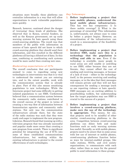<span id="page-12-0"></span>situations more broadly, these platforms can centralize information in a way that will allow organizations to reach vulnerable populations more quickly.

Benesch, however, cautioned about the danger of 'overusing' these kinds of platforms. She observed that in Kenya, several funders, as well as the Kenyan government, set up early warning systems for hate speech using these crowd-sourcing platforms. The result was that members of the public with information on sources of hate speech did not know to which crowd-sourcing platform they should send their information, and this resulted in the different platforms all having a diluted set of data. In this case, combining or coordinating such systems would be more useful than creating new ones.

#### *Moderating expectations of ICTs*

The overall conclusion that our participants seemed to come to regarding using new technologies in interventions was that it is vital to understand the context you are entering into, and to the extent possible, work with the communication system that is already in place. Part of this also means sensitizing populations to new technologies. While the Internews project had some difficulty in getting isolated populations to use SMS, Corduwener believed that a communication system between the community radio stations contributed to the overall success of the project in terms of creating a two-way flow of information between humanitarian agencies and community radio stations. Not only was the communication infrastructure already there, but the state of the radio stations was such that they were ready and eager to implement the new program. Likewise, Benesch found that teaming up with a television program that was already successful and popular made more sense than creating a new program from scratch. There is significant potential for integrating the use of ICTs into some of these established communications infrastructures, but working within the existing infrastructure is pivotal to the overall effectiveness of such technologies.

# *Key Takeaways:*

- 1. **Before implementing a project that uses mobile phones, understand the local mobile phone infrastructure.**  This has two key components: 1) Is there mobile coverage? 2) What is the percentage of ownership? This information is, unfortunately, not always easy to come by before a project begins. However, an overestimation of the infrastructure can result in a misconception of the feasibility of a project.
- 2. **Before implementing a project that involves SMS, make sure this is a technology that the population is willing and able to use.** Even if the technology is available, many people in rural areas are still unable or unwilling to use SMS, either because they are not literate, they cannot afford the cost of sending and receiving messages, or because of a lack of trust – either in the technology itself, in the persons receiving and sending messages, or in the idea that their messages will remain private and they will not face consequences for sending a message (such as one reporting violence or hate speech). SMS messages are an exciting addition to peacebuilding toolkits, but understanding how the target population may use SMS is crucial to the success of a project.
- 3. **Before implementing a project that involves a crowd-sourcing platform, make sure the use of the technology is appropriate.** This means, for one, that projects need to be mindful of other similar crowd-sourcing platforms in the area. Competition between crowd-sourcing platforms can dilute both and make functions such as early warning systems less useful. Secondly, as with mobile phones, projects need to be aware that in some areas with low use of internet or mobile phones, crowd-sourcing platforms function better as ways for internet-enabled groups, like radio stations, NGOs, and civil society organizations, to communicate with each other, rather than as ways for the general public to send information to these groups.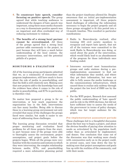- <span id="page-13-0"></span>4. **To counteract hate speech, consider focusing on positive speech.** The group agreed that while teaching audiences to understand the dangers of hate speech was important, using these mass media channels as a way to disseminate positive speech was an important and often overlooked way of reducing incitement to violence.
- 5. **The benefits of a strong local partner cannot be overestimated.** All three of the groups agreed that a strong local partner adds enormously to the project, in part because they will have a much better understanding of the local context, the necessary interventions, and the potential pitfalls of a project.

#### MONITORING & EVALUATION

All of the learning group participants admitted that we, as a community of researchers and program implementers, still have much to learn about the role of media in peacebuilding, and that the field is still relatively new. Making sure that new projects add to the knowledge base and the evidence base when it comes to the role of media in peacebuilding, and ICTs in particular, is therefore vital.

No matter how prepared a group is for an intervention, or how much experience the organization has in the field, interventions can face many hurdles. Being able to discuss these in a learning group environment not only revealed that many of the challenges the groups faced were similar, but made it easier to see ways of addressing those challenges.

The learning group discussion revealed that proper monitoring and evaluation faced problems for all three projects from the start, in part because none of the groups were able to thoroughly assess the environment, project assumptions, and project goals before the projects began. While all the groups were very familiar with the countries and contexts in which they were intervening, the complex relationship between media, ICTs, and peacebuilding required a more substantive planning period than the project timeframe allowed for. Despite awareness that an initial pre-implementation assessment is important, all three projects faced challenges of collecting the information necessary to begin the project properly and all three groups struggled to fit this period into a 12-month timeline. This resulted in particular ramifications:

- Radio la Benevolencija realized, after training 300 civil society members to recognize and report hate speech, that not all of the trainees were committed to the work Radio la Benevolencija was doing, or cared about the goals of the intervention, which would likely lead to an abandonment of the program for those individuals once funding ended.
- **Internews** surveyed most humanitarian groups and radio stations during a preimplementation assessment to find out what information they needed, and where they got their information, but were not able to fully assess the media landscape or the communications infrastructure, which caused them to realize only midway through the project the low level of SMS use by the public.
- For the WPI project, Benesch first assessed the public understanding of 'hate speech' and its role in the 2008 elections, but did not have sufficient time to assess the needs of the *government* in terms of policy changes, which was her target audience for the project.

# *Pre-implementation assessment periods* These challenges led to a thoughtful discussion about the best way to begin a project, and about the obvious benefits of paying close attention to needs as articulated by the population itself, rather than as articulated by implementers and donors. One conclusion that came out of the discussion was that working more closely with *communities* early on in the project could, in several cases, save time down the line by making sure that project assumptions and goals line up with the realities of the community, and with their needs.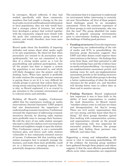In retrospect, Ricard reflected, if they had worked specifically with those community members that had *sought* a change in the way local radio received and broadcasted information to local populations, they not only would have had a stronger cohort of trainees, but would have developed a project that evolved together with the community, aligned more closely with the goals this community group wanted to achieve, and would, therefore, have been more sustainable.

Ricard spoke about the feasibility of imposing attitudes and norms about what media *ought* to be onto populations. He observed that when journalists are trained to do journalism more 'professionally,' but are not committed to the idea of a strong media sector as a tool for peacebuilding and political participation, then all the project has done is impose a system the population is not interested in, and which will likely disappear once the project, and the funding, leave. When hate speech is profitable for radio stations (for example, because someone is paying them to air it) it is very difficult for outside groups to prevent that unless there are strong norms rejecting this kind of speech. This is why, as Ricard explained, it is so crucial to pay attention to the economic environment and to cultural norms and attitudes.

Building off Ricard's insights, Corduwener added that his experiences working on media interventions (beyond Internews' USIP project) had also demonstrated the importance of understanding economic incentives. Corduwener stressed the importance of addressing economic incentives directly, by showing radio stations more profitable ways to manage their business. He told the story of one radio station manager who had to collect five dollars *each morning* from friends and neighbors simply to open the station. This, Corduwener argued, is not a sustainable business plan, and leaves such radio stations vulnerable to less community-oriented sources of income. Corduwener felt that teaching radio station managers how to properly manage the business, and make them more profitable, could act as a deterrent to accepting money to air potentially dangerous information.

The conclusion that it is important to understand an environment before intervening is certainly not new. Nevertheless, *all three* of these projects faced challenges posed by an incomplete assessment. Given the extensive experience of all three groups in such environments, why was this the case? The group identified two major hurdles to properly assessing environments prior to interventions: funding structures, and the challenge of finding good partners.

- **Funding structures:** Given the importance of improving our understanding of the role of media and ICTs in peacebuilding, the learning group discussion suggests that USIP and other donors could improve these interventions in the future - the findings that arise from them, and their potential to add to the knowledge base and the evidence base on media and peacebuilding – by requiring a pre-implementation assessment period, and making room for such pre-implementation assessment periods in the funding structure of grants. This would allow groups to develop a better understanding of what the desired outcomes for the project are, and therefore will develop better ways to collect data on them and to monitor success.
- **Finding Partners:** Ricard emphasized how important it was to have faith in the ability of local organizations to conduct the work themselves. As Ricard stated, "outsiders always come in and just see chaos and disorganization, but they're wrong. There are civil society organizations that are very strong, and they know what they're doing." All three groups therefore agreed that working with communication systems, and organizations, already on the ground and functioning well, was important for successful projects. However, the groups agreed that finding these partners was difficult, and takes time.

Supporting a strong and independent media sector is vital to increasing peacebuilding. All of the evidence the learning group members have gathered through these projects and others suggests 1) that the most effective peacebuilding efforts occur when communities are empowered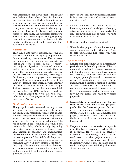<span id="page-15-0"></span>with information that allows them to make their own decisions about what is best for them and their communities, and 2) when the audience has good information they are more likely to avoid violence and conflict. While the importance of a strong media sector is a given for these groups and others that are deeply engaged in media sector strengthening, the discussion coming out of the learning group suggests that groups may need to focus more on working closely with the institutions themselves to understand what they believe their needs are.

# *Monitoring*

The participants viewed project monitoring and midterm evaluations as equally important as final evaluations, if not more so. They stressed the importance of monitoring projects so that changes can be made in time to achieve the project's objectives. Internews' midterm evaluation, which was conducted under the scope of another complimentary project, revealed the low SMS use, and ultimately, according to Corduwener, made the project much stronger. Radio la Benevolencija conducted regular focus groups to learn if their programs were meeting the needs of the local population, and set up a feedback system so that the public could tell the team how the SMS tools were working. According to Ricard, they were able to use this information to alter project activities to make them more effective.

#### *Final project evaluations*

The group discussion revealed not only a need for donors to more consciously build a preimplementation assessment period into grants, but also to require evaluations that help answer some of the 'big picture' questions that remain about the role of media in peacebuilding. The use of media in peacebuilding is a complex and understudied field, which is only beginning to receive focused attention by donors. Large gaps remain in scholars' and implementers' understandings of how media can most effectively be used in peacebuilding. While all the projects conducted (or are conducting) evaluations to determine how well they achieved the targets they originally set out for themselves, there was a consensus among the groups that a powerful evaluation ought to go beyond this and answer questions such as:

- How can we efficiently get information from isolated areas to more well connected areas, and vice versa?
- Should audience 'inoculation' focus on increasing audience knowledge, or changing attitudes and norms? Are there particular contexts in which it may be more fruitful to focus on one over the other?
- $\bullet$  How can local projects be scaled up?
- What is the proper balance between topdown messaging and bottom-up efforts to help populations find their own voice through local media?

# *Key Takeaways*

- 1. **Longer pre-implementation assessment periods would benefit projects.** All of the groups struggled to fit a proper assessment into the short timeframe, and faced hurdles that, perhaps, could have been avoided with a longer pre-implementation assessment period. Understanding the context before implementing a project is vital for a project's success, particularly in conflict-affected regions, and donors need to recognize that this is a necessary part of projects when they put out grants and when they assess proposals.
- 2. **Investigate and address the factors that stand in the way of the project's goals.** For the Internews project this was, in part, the low managerial capacity of radio station staff. For Radio La Benevolencija's project, this was an overall lack of belief in the importance of recognizing and stopping hate speech.
- 3. **Projects need to remain adaptable and flexible – especially when there is potential for violence or conflict.** Continuous monitoring may reveal weaknesses in the project design, or potential for improvements. Projects need to remain vigilant of these insights, and be ready to adapt as needed during the course of the intervention.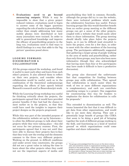<span id="page-16-0"></span>4. **Evaluations need to go beyond measuring outputs.** While it may be impossible to show that a given project reduced violence, evaluations need to begin to answer some of the bigger questions regarding the role of media in peacebuilding, rather than simply addressing how many mobile phones were distributed or how many journalists were trained. In order to add to generalized knowledge and improve the efficacy of peacebuilding projects in the long run, evaluations need to find ways to distill findings in a way that adds to the 'big picture' questions posed above.

# LOOKING FORWARD: DISSEMINATION & COLLABORATION

All the groups enjoyed the workshop, and found it useful to meet each other and learn from each other's projects. It also allowed them to reflect on their own projects, and consider where collaboration would be useful, such as in the combination of the theoretical underpinnings regarding the effects of hate speech behind Benesch's research and La Benevolencija's work.

While the Learning Group workshop was useful for thinking critically about the projects, the participants agreed that it would have provided greater benefits if they had had the chance to meet earlier on in the projects, so that they could have used the insights to improve their project designs as the projects progressed.

While this was part of the intended purpose of the collaborative website set up by Internews – to allow the different groups to talk about their projects while they were taking place – this did not occur for two primary reasons. First, the participants agreed that it was not until they were able to discuss their projects face-to-face that they truly saw the overlap and the elements common to the three very different projects. Working on the ground, in difficult conditions and under severe time constraints, the groups did not see a great value in taking the time to learn about the other projects when they could not see the important aspects of media and

peacebuilding they held in common. Secondly, although the groups did try to use the website, there were technical problems which made the collaborative functions less useful. Future learning groups like this would therefore benefit from an earlier group meeting so the different groups can get a sense of the other projects, coupled with a website that would easily allow them to share information. The group meeting should ideally take place *before* the projects begin, as it can be difficult (and stressful) to leave the project, even for a few days, in order to meet with the other members of the learning group. The participants additionally suggested that gathering a larger group of people working in the area of media and peacebuilding, rather than only three groups, may have also been more informative (though they also acknowledged that having more than four or five participants may have made it difficult to have a productive discussion).

The group also discussed the unfortunate fact that competition for funding between groups may stifle collaboration. They agreed that collaboration is much easier when the work of two or more different organizations is complementary, and each can contribute something unique to a project. One suggestion for counteracting this was for funders to emphasize the desire for collaboration in calls for proposals.<sup>4</sup>

This extended to dissemination as well. The teams lamented the fact that it was difficult to get data from other organizations, and would like to see more data sharing. They saw a potentially large benefit of groups like CIMA that seem to be doing a good job of bringing together the work of different groups working in the field, and functioning as a kind of 'neutral ground' on which organizations could come together and share information.

<sup>4</sup> The groups acknowledged that this occurs on the donor end as well, and sometimes results in organizations funding very similar projects in the same location – which also makes it difficult for groups to work together. As Benesch stated, "I wouldn't want to be a journalist in Kenya" because there are *so* many trainings, run by different organizations, that they are pressured to attend.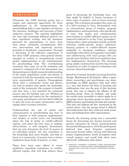# <span id="page-17-0"></span>CONCLUSION

Ultimately, the USIP learning group was a unique and important opportunity for three implementers in the communications for peacebuilding field to come together and discuss the outcomes, challenges and successes of their respective projects. The meeting highlighted the ways that seemingly different projects can have significant overlap, and the enormous potential for organizations to learn from their peers, ultimately strengthening their own interventions and improving services provided to beneficiary communities. Through a discussion of the collective experiences of the three USIP grantees, clear general themes emerged as central to strengthening overall project implementation in the communication for peacebuilding field. The overwhelming consensus that came out of the workshop and seemed to undergird all of the discussions was that gaining an in-depth, nuanced understanding of the target population's needs and desires is essential to both the immediate success and long term sustainability of projects. Presumptions about what a community wants and desires can lead to projects that ignore the immediate needs of the community they purport to benefit, and that have a low potential for continued success once the funding runs out. Without an understanding and respect for the community's own goals, practitioners will also find it difficult to gain the trust of target communities and to engage them in project activities.

Understanding the role of media and communication in peacebuilding has been of keen interest to both program implementers and funders in recent years, but knowledge about the role of media in conflict-affected regions, and about the best ways to undergo interventions, is still incipient. Evaluations that not only determine the level of success of an individual project, but also contribute to the knowledge base more broadly, and help us learn as a community of practice how to better implement these kinds of projects, is vital.

There have been some efforts to create guidelines regarding evaluations in conflictaffected regions that will help achieve these goals of increasing the knowledge base, and that might be helpful in future iterations of these types of projects, and in future learning groups. The evaluation principles that came out of a 2010 meeting in Caux, Switzerland, with an international group of funders, program implementers, and researchers, refer specifically to ways that media and communication interventions in conflict-affected regions can be improved (referred to as the 'Caux' principles).<sup>5</sup> Among others, these principles include carefully selecting conflict-specific project indicators, keeping projects in conflict-affected regions adaptable to changing conditions, sharing knowledge with others as frequently as possible, and collaborating with local groups (who are usually more familiar with local conditions than the implementers themselves). The learning group solidly confirmed the need for these kinds of practices in order to improve evaluations and increase shared knowledge.

Search for Common Ground's Learning Portal for Design, Monitoring & Evaluation<sup>6</sup> offers a space where researchers and practitioners can share knowledge on M&E practices with each other in a way that fosters the kind of learning and collaboration that was the goal of this learning group. One way to improve the efficacy of the learning group, share its findings, and make the results more accessible to others might be to encourage future learning groups to share their M&E practices and findings through this website. This may also address the fact, mentioned in the section above, that the groups found it difficult and unfortunate that they could not easily access data and findings from other organizations.

Overall, the learning group was a successful forum for discussing key lessons learned and general takeaways for future communications for peacebuilding projects. All of the participants believed that more frequent, systematic discussion forums before, during and following project implementation would strengthen their overall projects and would help them more effectively collaborate with others.

<sup>5</sup> Arsenault, A., Himelfarb, S., and Abbott, S. (2011). *Evaluating media interventions in conflict countries: Toward developing common principles and a community of practice.* United States Institute of Peace.

<sup>6</sup> [www.dmeforpeace.org](http://www.dmeforpeace.org)